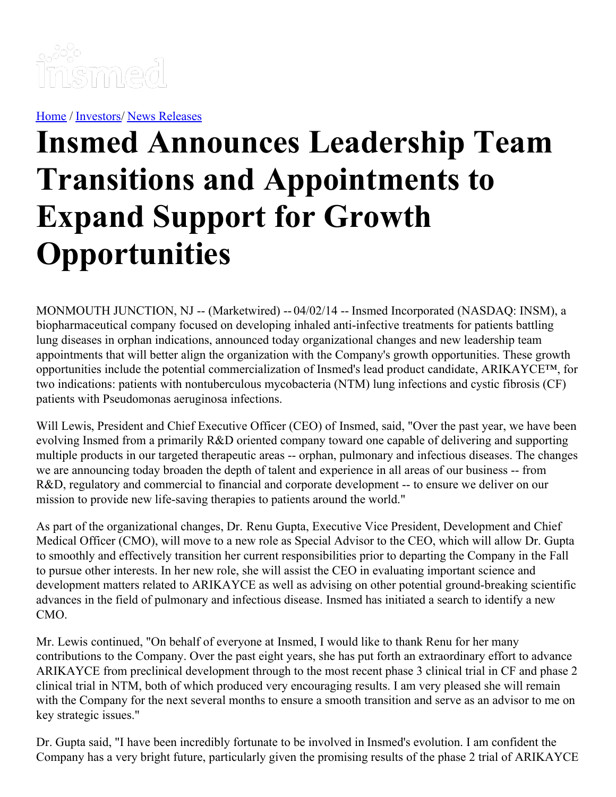

[Home](https://insmed.com/) / [Investors](https://investor.insmed.com/index)/ News [Releases](https://investor.insmed.com/releases)

## **Insmed Announces Leadership Team Transitions and Appointments to Expand Support for Growth Opportunities**

MONMOUTH JUNCTION, NJ -- (Marketwired) -- 04/02/14 -- Insmed Incorporated (NASDAQ: INSM), a biopharmaceutical company focused on developing inhaled anti-infective treatments for patients battling lung diseases in orphan indications, announced today organizational changes and new leadership team appointments that will better align the organization with the Company's growth opportunities. These growth opportunities include the potential commercialization of Insmed's lead product candidate, ARIKAYCE™, for two indications: patients with nontuberculous mycobacteria (NTM) lung infections and cystic fibrosis (CF) patients with Pseudomonas aeruginosa infections.

Will Lewis, President and Chief Executive Officer (CEO) of Insmed, said, "Over the past year, we have been evolving Insmed from a primarily R&D oriented company toward one capable of delivering and supporting multiple products in our targeted therapeutic areas -- orphan, pulmonary and infectious diseases. The changes we are announcing today broaden the depth of talent and experience in all areas of our business -- from R&D, regulatory and commercial to financial and corporate development -- to ensure we deliver on our mission to provide new life-saving therapies to patients around the world."

As part of the organizational changes, Dr. Renu Gupta, Executive Vice President, Development and Chief Medical Officer (CMO), will move to a new role as Special Advisor to the CEO, which will allow Dr. Gupta to smoothly and effectively transition her current responsibilities prior to departing the Company in the Fall to pursue other interests. In her new role, she will assist the CEO in evaluating important science and development matters related to ARIKAYCE as well as advising on other potential ground-breaking scientific advances in the field of pulmonary and infectious disease. Insmed has initiated a search to identify a new CMO.

Mr. Lewis continued, "On behalf of everyone at Insmed, I would like to thank Renu for her many contributions to the Company. Over the past eight years, she has put forth an extraordinary effort to advance ARIKAYCE from preclinical development through to the most recent phase 3 clinical trial in CF and phase 2 clinical trial in NTM, both of which produced very encouraging results. I am very pleased she will remain with the Company for the next several months to ensure a smooth transition and serve as an advisor to me on key strategic issues."

Dr. Gupta said, "I have been incredibly fortunate to be involved in Insmed's evolution. I am confident the Company has a very bright future, particularly given the promising results of the phase 2 trial of ARIKAYCE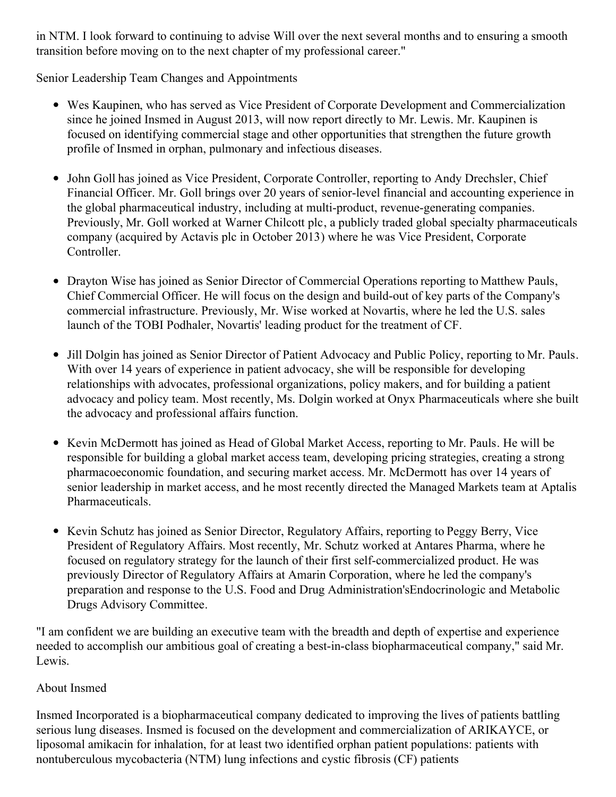in NTM. I look forward to continuing to advise Will over the next several months and to ensuring a smooth transition before moving on to the next chapter of my professional career."

Senior Leadership Team Changes and Appointments

- Wes Kaupinen, who has served as Vice President of Corporate Development and Commercialization since he joined Insmed in August 2013, will now report directly to Mr. Lewis. Mr. Kaupinen is focused on identifying commercial stage and other opportunities that strengthen the future growth profile of Insmed in orphan, pulmonary and infectious diseases.
- John Goll has joined as Vice President, Corporate Controller, reporting to Andy Drechsler, Chief Financial Officer. Mr. Goll brings over 20 years of senior-level financial and accounting experience in the global pharmaceutical industry, including at multi-product, revenue-generating companies. Previously, Mr. Goll worked at Warner Chilcott plc, a publicly traded global specialty pharmaceuticals company (acquired by Actavis plc in October 2013) where he was Vice President, Corporate Controller.
- Drayton Wise has joined as Senior Director of Commercial Operations reporting to Matthew Pauls, Chief Commercial Officer. He will focus on the design and build-out of key parts of the Company's commercial infrastructure. Previously, Mr. Wise worked at Novartis, where he led the U.S. sales launch of the TOBI Podhaler, Novartis' leading product for the treatment of CF.
- Jill Dolgin has joined as Senior Director of Patient Advocacy and Public Policy, reporting to Mr. Pauls. With over 14 years of experience in patient advocacy, she will be responsible for developing relationships with advocates, professional organizations, policy makers, and for building a patient advocacy and policy team. Most recently, Ms. Dolgin worked at Onyx Pharmaceuticals where she built the advocacy and professional affairs function.
- Kevin McDermott has joined as Head of Global Market Access, reporting to Mr. Pauls. He will be responsible for building a global market access team, developing pricing strategies, creating a strong pharmacoeconomic foundation, and securing market access. Mr. McDermott has over 14 years of senior leadership in market access, and he most recently directed the Managed Markets team at Aptalis Pharmaceuticals.
- Kevin Schutz has joined as Senior Director, Regulatory Affairs, reporting to Peggy Berry, Vice President of Regulatory Affairs. Most recently, Mr. Schutz worked at Antares Pharma, where he focused on regulatory strategy for the launch of their first self-commercialized product. He was previously Director of Regulatory Affairs at Amarin Corporation, where he led the company's preparation and response to the U.S. Food and Drug Administration'sEndocrinologic and Metabolic Drugs Advisory Committee.

"I am confident we are building an executive team with the breadth and depth of expertise and experience needed to accomplish our ambitious goal of creating a best-in-class biopharmaceutical company," said Mr. Lewis.

## About Insmed

Insmed Incorporated is a biopharmaceutical company dedicated to improving the lives of patients battling serious lung diseases. Insmed is focused on the development and commercialization of ARIKAYCE, or liposomal amikacin for inhalation, for at least two identified orphan patient populations: patients with nontuberculous mycobacteria (NTM) lung infections and cystic fibrosis (CF) patients